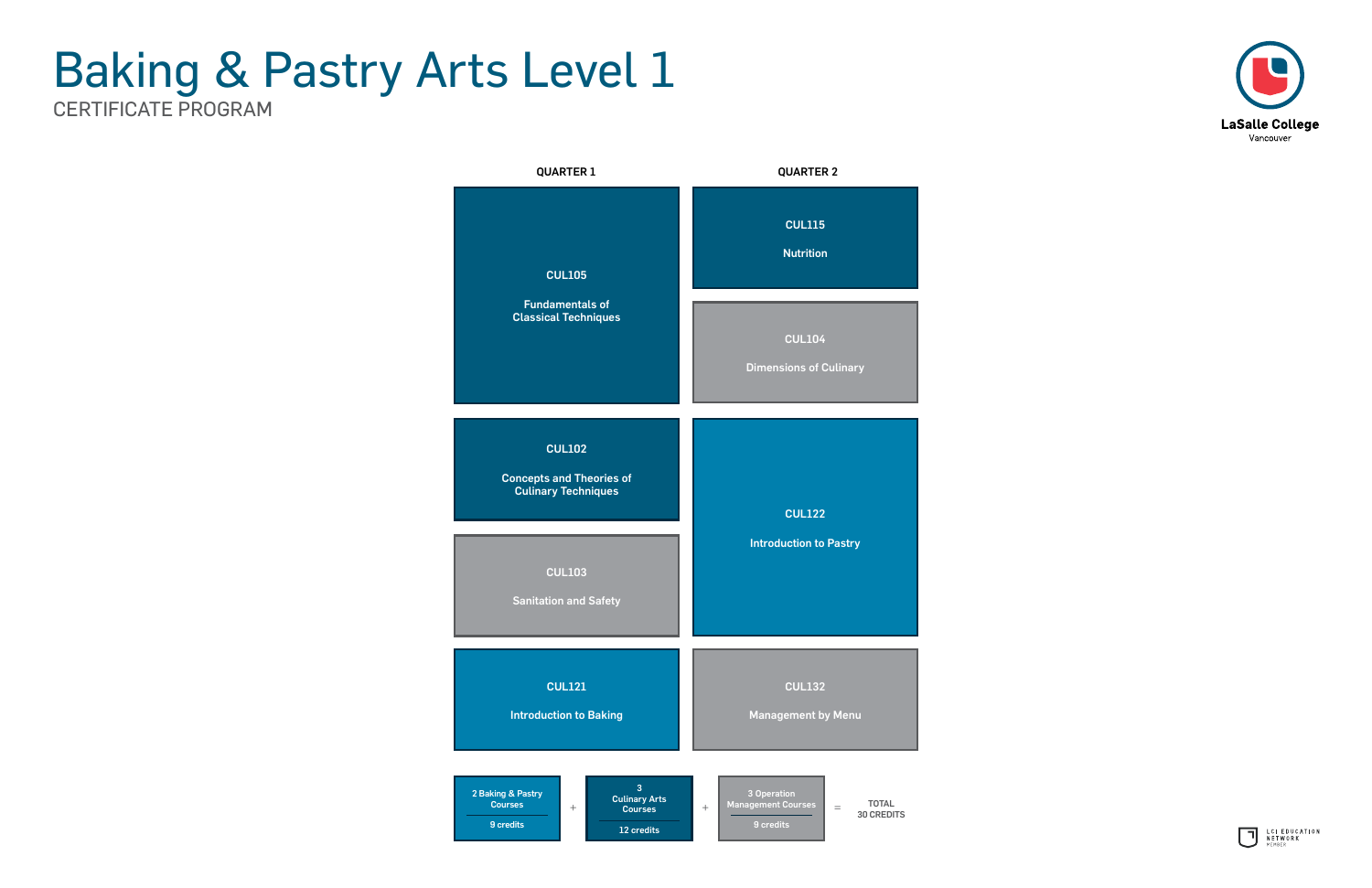





## Baking & Pastry Arts Level 1 CERTIFICATE PROGRAM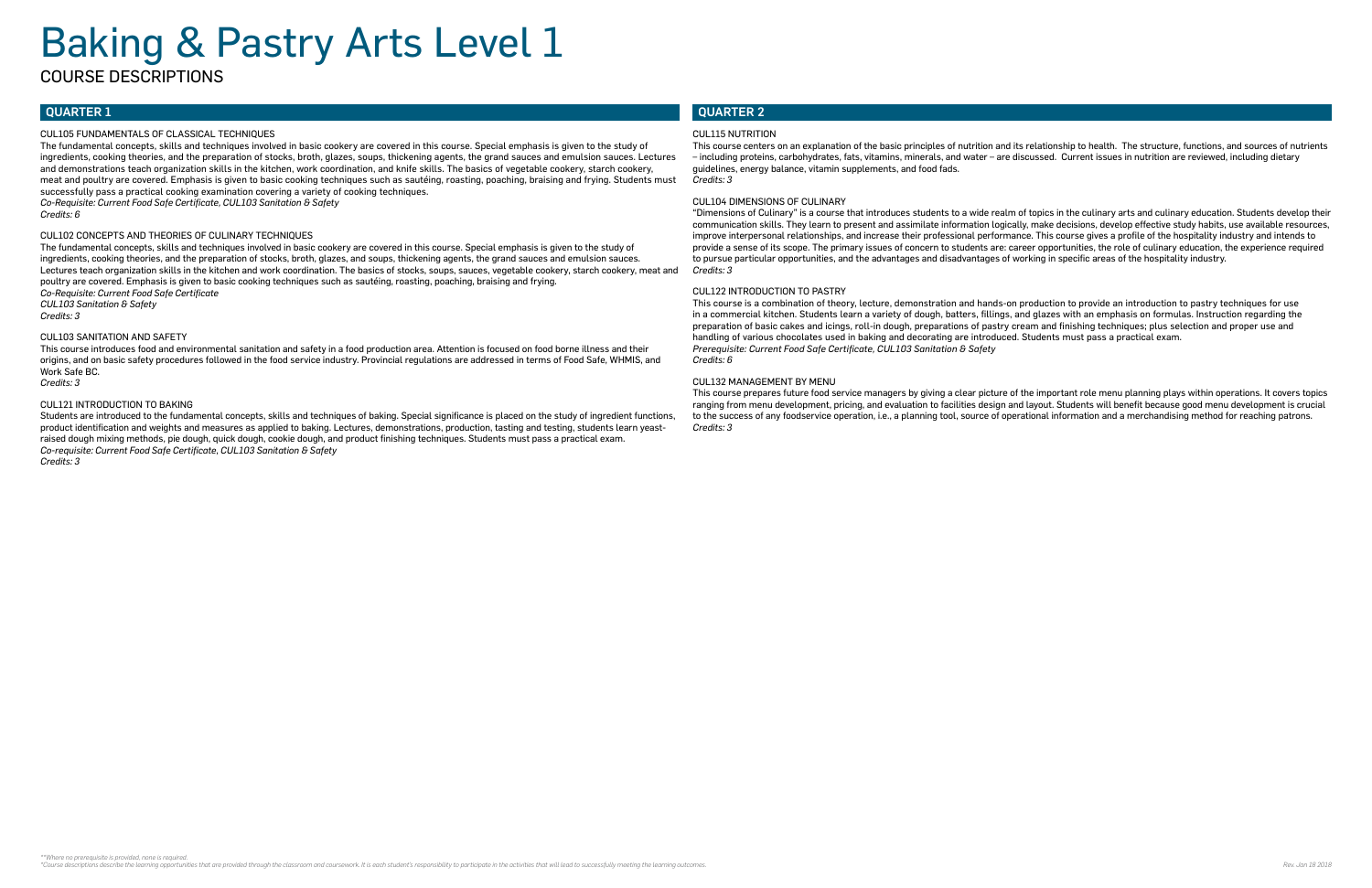#### QUARTER 1

#### CUL105 FUNDAMENTALS OF CLASSICAL TECHNIQUES

The fundamental concepts, skills and techniques involved in basic cookery are covered in this course. Special emphasis is given to the study of ingredients, cooking theories, and the preparation of stocks, broth, glazes, soups, thickening agents, the grand sauces and emulsion sauces. Lectures and demonstrations teach organization skills in the kitchen, work coordination, and knife skills. The basics of vegetable cookery, starch cookery, meat and poultry are covered. Emphasis is given to basic cooking techniques such as sautéing, roasting, poaching, braising and frying. Students must successfully pass a practical cooking examination covering a variety of cooking techniques.

*Co-Requisite: Current Food Safe Certificate, CUL103 Sanitation & Safety*

*Credits: 6*

#### CUL102 CONCEPTS AND THEORIES OF CULINARY TECHNIQUES

The fundamental concepts, skills and techniques involved in basic cookery are covered in this course. Special emphasis is given to the study of ingredients, cooking theories, and the preparation of stocks, broth, glazes, and soups, thickening agents, the grand sauces and emulsion sauces. Lectures teach organization skills in the kitchen and work coordination. The basics of stocks, soups, sauces, vegetable cookery, starch cookery, meat and poultry are covered. Emphasis is given to basic cooking techniques such as sautéing, roasting, poaching, braising and frying. *Co-Requisite: Current Food Safe Certificate CUL103 Sanitation & Safety*

*Credits: 3*

#### CUL103 SANITATION AND SAFETY

This course introduces food and environmental sanitation and safety in a food production area. Attention is focused on food borne illness and their origins, and on basic safety procedures followed in the food service industry. Provincial regulations are addressed in terms of Food Safe, WHMIS, and Work Safe BC.

*Credits: 3*

#### CUL121 INTRODUCTION TO BAKING

Students are introduced to the fundamental concepts, skills and techniques of baking. Special significance is placed on the study of ingredient functions, product identification and weights and measures as applied to baking. Lectures, demonstrations, production, tasting and testing, students learn yeastraised dough mixing methods, pie dough, quick dough, cookie dough, and product finishing techniques. Students must pass a practical exam. *Co-requisite: Current Food Safe Certificate, CUL103 Sanitation & Safety Credits: 3*

#### QUARTER 2

#### CUL115 NUTRITION

This course centers on an explanation of the basic principles of nutrition and its relationship to health. The structure, functions, and sources of nutrients – including proteins, carbohydrates, fats, vitamins, minerals, and water – are discussed. Current issues in nutrition are reviewed, including dietary guidelines, energy balance, vitamin supplements, and food fads. *Credits: 3*

#### CUL104 DIMENSIONS OF CULINARY

"Dimensions of Culinary" is a course that introduces students to a wide realm of topics in the culinary arts and culinary education. Students develop their communication skills. They learn to present and assimilate information logically, make decisions, develop effective study habits, use available resources, improve interpersonal relationships, and increase their professional performance. This course gives a profile of the hospitality industry and intends to provide a sense of its scope. The primary issues of concern to students are: career opportunities, the role of culinary education, the experience required to pursue particular opportunities, and the advantages and disadvantages of working in specific areas of the hospitality industry. *Credits: 3*

#### CUL122 INTRODUCTION TO PASTRY

This course is a combination of theory, lecture, demonstration and hands-on production to provide an introduction to pastry techniques for use in a commercial kitchen. Students learn a variety of dough, batters, fillings, and glazes with an emphasis on formulas. Instruction regarding the preparation of basic cakes and icings, roll-in dough, preparations of pastry cream and finishing techniques; plus selection and proper use and handling of various chocolates used in baking and decorating are introduced. Students must pass a practical exam. *Prerequisite: Current Food Safe Certificate, CUL103 Sanitation & Safety Credits: 6*

#### CUL132 MANAGEMENT BY MENU

This course prepares future food service managers by giving a clear picture of the important role menu planning plays within operations. It covers topics ranging from menu development, pricing, and evaluation to facilities design and layout. Students will benefit because good menu development is crucial to the success of any foodservice operation, i.e., a planning tool, source of operational information and a merchandising method for reaching patrons. *Credits: 3*

# Baking & Pastry Arts Level 1

COURSE DESCRIPTIONS